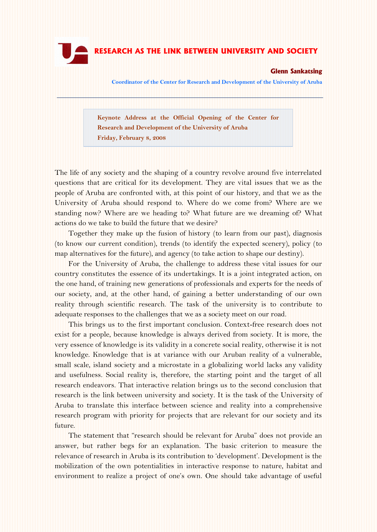

# **RESEARCH AS THE LINK BETWEEN UNIVERSITY AND SOCIETY**

## **Glenn Sankatsing**

**Coordinator of the Center for Research and Development of the University of Aruba**

**Keynote Address at the Official Opening of the Center for Research and Development of the University of Aruba Friday, February 8, 2008**

The life of any society and the shaping of a country revolve around five interrelated questions that are critical for its development. They are vital issues that we as the people of Aruba are confronted with, at this point of our history, and that we as the University of Aruba should respond to. Where do we come from? Where are we standing now? Where are we heading to? What future are we dreaming of? What actions do we take to build the future that we desire?

Together they make up the fusion of history (to learn from our past), diagnosis (to know our current condition), trends (to identify the expected scenery), policy (to map alternatives for the future), and agency (to take action to shape our destiny).

For the University of Aruba, the challenge to address these vital issues for our country constitutes the essence of its undertakings. It is a joint integrated action, on the one hand, of training new generations of professionals and experts for the needs of our society, and, at the other hand, of gaining a better understanding of our own reality through scientific research. The task of the university is to contribute to adequate responses to the challenges that we as a society meet on our road.

This brings us to the first important conclusion. Context-free research does not exist for a people, because knowledge is always derived from society. It is more, the very essence of knowledge is its validity in a concrete social reality, otherwise it is not knowledge. Knowledge that is at variance with our Aruban reality of a vulnerable, small scale, island society and a microstate in a globalizing world lacks any validity and usefulness. Social reality is, therefore, the starting point and the target of all research endeavors. That interactive relation brings us to the second conclusion that research is the link between university and society. It is the task of the University of Aruba to translate this interface between science and reality into a comprehensive research program with priority for projects that are relevant for our society and its future.

The statement that "research should be relevant for Aruba" does not provide an answer, but rather begs for an explanation. The basic criterion to measure the relevance of research in Aruba is its contribution to "development". Development is the mobilization of the own potentialities in interactive response to nature, habitat and environment to realize a project of one"s own. One should take advantage of useful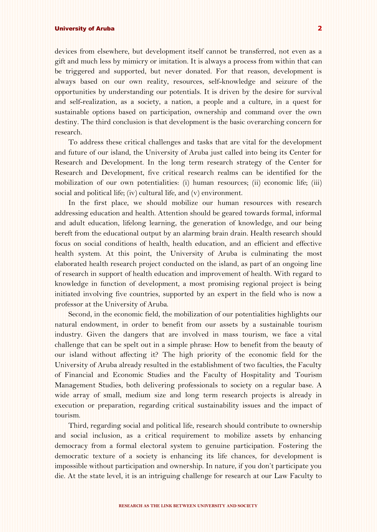devices from elsewhere, but development itself cannot be transferred, not even as a gift and much less by mimicry or imitation. It is always a process from within that can be triggered and supported, but never donated. For that reason, development is always based on our own reality, resources, self-knowledge and seizure of the opportunities by understanding our potentials. It is driven by the desire for survival and self-realization, as a society, a nation, a people and a culture, in a quest for sustainable options based on participation, ownership and command over the own destiny. The third conclusion is that development is the basic overarching concern for research.

To address these critical challenges and tasks that are vital for the development and future of our island, the University of Aruba just called into being its Center for Research and Development. In the long term research strategy of the Center for Research and Development, five critical research realms can be identified for the mobilization of our own potentialities: (i) human resources; (ii) economic life; (iii) social and political life; (iv) cultural life, and (v) environment.

In the first place, we should mobilize our human resources with research addressing education and health. Attention should be geared towards formal, informal and adult education, lifelong learning, the generation of knowledge, and our being bereft from the educational output by an alarming brain drain. Health research should focus on social conditions of health, health education, and an efficient and effective health system. At this point, the University of Aruba is culminating the most elaborated health research project conducted on the island, as part of an ongoing line of research in support of health education and improvement of health. With regard to knowledge in function of development, a most promising regional project is being initiated involving five countries, supported by an expert in the field who is now a professor at the University of Aruba.

Second, in the economic field, the mobilization of our potentialities highlights our natural endowment, in order to benefit from our assets by a sustainable tourism industry. Given the dangers that are involved in mass tourism, we face a vital challenge that can be spelt out in a simple phrase: How to benefit from the beauty of our island without affecting it? The high priority of the economic field for the University of Aruba already resulted in the establishment of two faculties, the Faculty of Financial and Economic Studies and the Faculty of Hospitality and Tourism Management Studies, both delivering professionals to society on a regular base. A wide array of small, medium size and long term research projects is already in execution or preparation, regarding critical sustainability issues and the impact of tourism.

Third, regarding social and political life, research should contribute to ownership and social inclusion, as a critical requirement to mobilize assets by enhancing democracy from a formal electoral system to genuine participation. Fostering the democratic texture of a society is enhancing its life chances, for development is impossible without participation and ownership. In nature, if you don"t participate you die. At the state level, it is an intriguing challenge for research at our Law Faculty to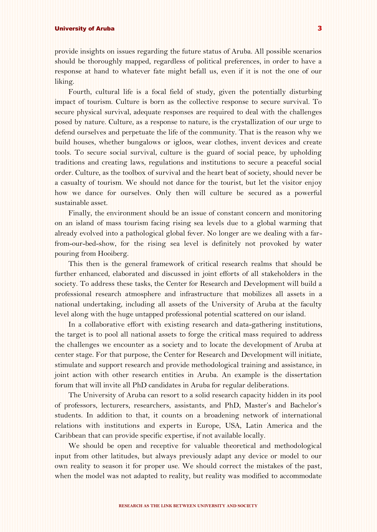provide insights on issues regarding the future status of Aruba. All possible scenarios should be thoroughly mapped, regardless of political preferences, in order to have a response at hand to whatever fate might befall us, even if it is not the one of our liking.

Fourth, cultural life is a focal field of study, given the potentially disturbing impact of tourism. Culture is born as the collective response to secure survival. To secure physical survival, adequate responses are required to deal with the challenges posed by nature. Culture, as a response to nature, is the crystallization of our urge to defend ourselves and perpetuate the life of the community. That is the reason why we build houses, whether bungalows or igloos, wear clothes, invent devices and create tools. To secure social survival, culture is the guard of social peace, by upholding traditions and creating laws, regulations and institutions to secure a peaceful social order. Culture, as the toolbox of survival and the heart beat of society, should never be a casualty of tourism. We should not dance for the tourist, but let the visitor enjoy how we dance for ourselves. Only then will culture be secured as a powerful sustainable asset.

Finally, the environment should be an issue of constant concern and monitoring on an island of mass tourism facing rising sea levels due to a global warming that already evolved into a pathological global fever. No longer are we dealing with a farfrom-our-bed-show, for the rising sea level is definitely not provoked by water pouring from Hooiberg.

This then is the general framework of critical research realms that should be further enhanced, elaborated and discussed in joint efforts of all stakeholders in the society. To address these tasks, the Center for Research and Development will build a professional research atmosphere and infrastructure that mobilizes all assets in a national undertaking, including all assets of the University of Aruba at the faculty level along with the huge untapped professional potential scattered on our island.

In a collaborative effort with existing research and data-gathering institutions, the target is to pool all national assets to forge the critical mass required to address the challenges we encounter as a society and to locate the development of Aruba at center stage. For that purpose, the Center for Research and Development will initiate, stimulate and support research and provide methodological training and assistance, in joint action with other research entities in Aruba. An example is the dissertation forum that will invite all PhD candidates in Aruba for regular deliberations.

The University of Aruba can resort to a solid research capacity hidden in its pool of professors, lecturers, researchers, assistants, and PhD, Master"s and Bachelor"s students. In addition to that, it counts on a broadening network of international relations with institutions and experts in Europe, USA, Latin America and the Caribbean that can provide specific expertise, if not available locally.

We should be open and receptive for valuable theoretical and methodological input from other latitudes, but always previously adapt any device or model to our own reality to season it for proper use. We should correct the mistakes of the past, when the model was not adapted to reality, but reality was modified to accommodate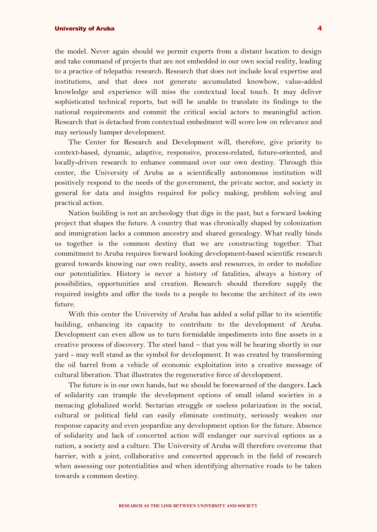the model. Never again should we permit experts from a distant location to design and take command of projects that are not embedded in our own social reality, leading to a practice of telepathic research. Research that does not include local expertise and institutions, and that does not generate accumulated knowhow, value-added knowledge and experience will miss the contextual local touch. It may deliver sophisticated technical reports, but will be unable to translate its findings to the national requirements and commit the critical social actors to meaningful action. Research that is detached from contextual embedment will score low on relevance and may seriously hamper development.

The Center for Research and Development will, therefore, give priority to context-based, dynamic, adaptive, responsive, process-related, future-oriented, and locally-driven research to enhance command over our own destiny. Through this center, the University of Aruba as a scientifically autonomous institution will positively respond to the needs of the government, the private sector, and society in general for data and insights required for policy making, problem solving and practical action.

Nation building is not an archeology that digs in the past, but a forward looking project that shapes the future. A country that was chronically shaped by colonization and immigration lacks a common ancestry and shared genealogy. What really binds us together is the common destiny that we are constructing together. That commitment to Aruba requires forward looking development-based scientific research geared towards knowing our own reality, assets and resources, in order to mobilize our potentialities. History is never a history of fatalities, always a history of possibilities, opportunities and creation. Research should therefore supply the required insights and offer the tools to a people to become the architect of its own future.

With this center the University of Aruba has added a solid pillar to its scientific building, enhancing its capacity to contribute to the development of Aruba. Development can even allow us to turn formidable impediments into fine assets in a creative process of discovery. The steel band – that you will be hearing shortly in our yard - may well stand as the symbol for development. It was created by transforming the oil barrel from a vehicle of economic exploitation into a creative message of cultural liberation. That illustrates the regenerative force of development.

The future is in our own hands, but we should be forewarned of the dangers. Lack of solidarity can trample the development options of small island societies in a menacing globalized world. Sectarian struggle or useless polarization in the social, cultural or political field can easily eliminate continuity, seriously weaken our response capacity and even jeopardize any development option for the future. Absence of solidarity and lack of concerted action will endanger our survival options as a nation, a society and a culture. The University of Aruba will therefore overcome that barrier, with a joint, collaborative and concerted approach in the field of research when assessing our potentialities and when identifying alternative roads to be taken towards a common destiny.